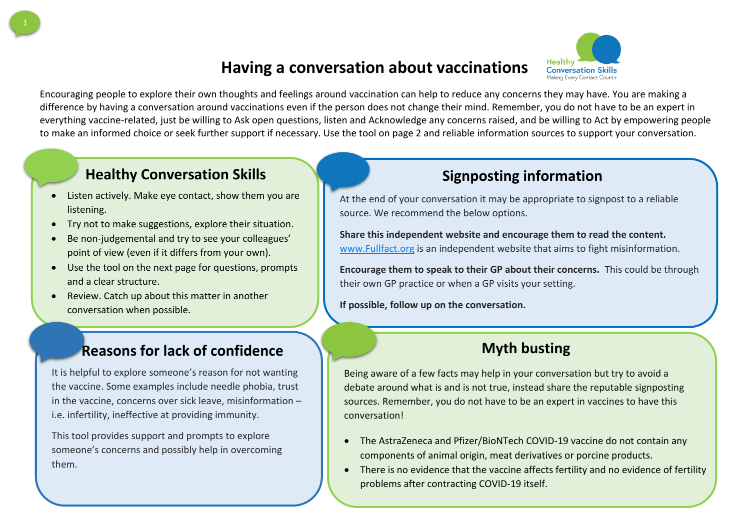# **Having a conversation about vaccinations**

Encouraging people to explore their own thoughts and feelings around vaccination can help to reduce any concerns they may have. You are making a difference by having a conversation around vaccinations even if the person does not change their mind. Remember, you do not have to be an expert in everything vaccine-related, just be willing to Ask open questions, listen and Acknowledge any concerns raised, and be willing to Act by empowering people to make an informed choice or seek further support if necessary. Use the tool on page 2 and reliable information sources to support your conversation.

## **Healthy Conversation Skills Signposting information**

- Listen actively. Make eye contact, show them you are listening.
- Try not to make suggestions, explore their situation.
- Be non-judgemental and try to see your colleagues' point of view (even if it differs from your own).
- Use the tool on the next page for questions, prompts and a clear structure.
- Review. Catch up about this matter in another conversation when possible.

### **Reasons for lack of confidence**

It is helpful to explore someone's reason for not wanting the vaccine. Some examples include needle phobia, trust in the vaccine, concerns over sick leave, misinformation – i.e. infertility, ineffective at providing immunity.

This tool provides support and prompts to explore someone's concerns and possibly help in overcoming them.

At the end of your conversation it may be appropriate to signpost to a reliable source. We recommend the below options.

**Share this independent website and encourage them to read the content.** [www.Fullfact.org](http://www.fullfact.org/) is an independent website that aims to fight misinformation.

**Encourage them to speak to their GP about their concerns.** This could be through their own GP practice or when a GP visits your setting.

**If possible, follow up on the conversation.**

## **Myth busting**

Being aware of a few facts may help in your conversation but try to avoid a debate around what is and is not true, instead share the reputable signposting sources. Remember, you do not have to be an expert in vaccines to have this conversation!

- The AstraZeneca and Pfizer/BioNTech COVID-19 vaccine do not contain any components of animal origin, meat derivatives or porcine products.
- There is no evidence that the vaccine affects fertility and no evidence of fertility problems after contracting COVID-19 itself.